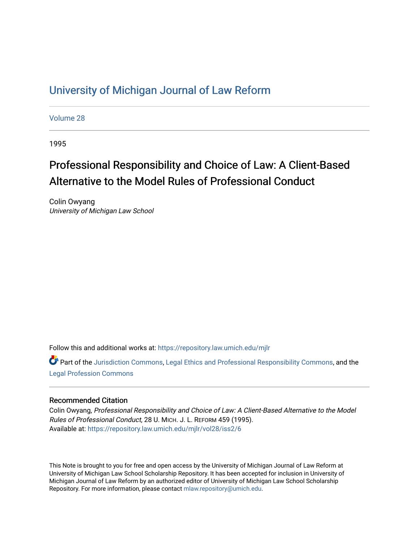## [University of Michigan Journal of Law Reform](https://repository.law.umich.edu/mjlr)

[Volume 28](https://repository.law.umich.edu/mjlr/vol28)

1995

# Professional Responsibility and Choice of Law: A Client-Based Alternative to the Model Rules of Professional Conduct

Colin Owyang University of Michigan Law School

Follow this and additional works at: [https://repository.law.umich.edu/mjlr](https://repository.law.umich.edu/mjlr?utm_source=repository.law.umich.edu%2Fmjlr%2Fvol28%2Fiss2%2F6&utm_medium=PDF&utm_campaign=PDFCoverPages) 

**C** Part of the [Jurisdiction Commons](http://network.bepress.com/hgg/discipline/850?utm_source=repository.law.umich.edu%2Fmjlr%2Fvol28%2Fiss2%2F6&utm_medium=PDF&utm_campaign=PDFCoverPages), [Legal Ethics and Professional Responsibility Commons,](http://network.bepress.com/hgg/discipline/895?utm_source=repository.law.umich.edu%2Fmjlr%2Fvol28%2Fiss2%2F6&utm_medium=PDF&utm_campaign=PDFCoverPages) and the [Legal Profession Commons](http://network.bepress.com/hgg/discipline/1075?utm_source=repository.law.umich.edu%2Fmjlr%2Fvol28%2Fiss2%2F6&utm_medium=PDF&utm_campaign=PDFCoverPages)

## Recommended Citation

Colin Owyang, Professional Responsibility and Choice of Law: A Client-Based Alternative to the Model Rules of Professional Conduct, 28 U. MICH. J. L. REFORM 459 (1995). Available at: [https://repository.law.umich.edu/mjlr/vol28/iss2/6](https://repository.law.umich.edu/mjlr/vol28/iss2/6?utm_source=repository.law.umich.edu%2Fmjlr%2Fvol28%2Fiss2%2F6&utm_medium=PDF&utm_campaign=PDFCoverPages) 

This Note is brought to you for free and open access by the University of Michigan Journal of Law Reform at University of Michigan Law School Scholarship Repository. It has been accepted for inclusion in University of Michigan Journal of Law Reform by an authorized editor of University of Michigan Law School Scholarship Repository. For more information, please contact [mlaw.repository@umich.edu](mailto:mlaw.repository@umich.edu).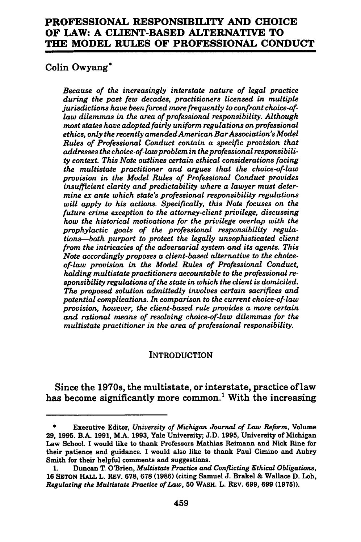## **PROFESSIONAL RESPONSIBILITY AND CHOICE OF LAW: A CLIENT-BASED ALTERNATIVE TO THE MODEL RULES OF PROFESSIONAL CONDUCT**

## Colin Owyang\*

*Because of the increasingly interstate nature of legal practice during the past few decades, practitioners licensed in multiple jurisdictions have been forced more frequently to confront choice-oflaw dilemmas in the area of professional responsibility. Although most states have adopted fairly uniform regulations on professional ethics, only the recently amended American Bar Association's Model Rules of Professional Conduct contain a specific provision that addresses the choice-of-law problem in the professional responsibility context. This Note outlines certain ethical considerations facing the multistate practitioner and argues that the choice-of-law provision in the Model Rules of Professional Conduct provides insufficient clarity and predictability where a lawyer must determine ex ante which state's professional responsibility regulations will apply to his actions. Specifically, this Note focuses on the future crime exception to the attorney-client privilege, discussing how the historical motivations for the privilege overlap with the prophylactic goals of the professional responsibility regulations-both purport to protect the legally unsophisticated client from the intricacies of the adversarial system and its agents. This Note accordingly proposes a client-based alternative to the choiceof-law provision in the Model Rules of Professional Conduct, holding multistate practitioners accountable to the professional responsibility regulations of the state in which the client is domiciled. The proposed solution admittedly involves certain sacrifices and potential complications. In comparison to the current choice-of-law provision, however, the client-based rule provides a more certain and rational means of resolving choice-of-law dilemmas for the multistate practitioner in the area of professional responsibility.* 

### **INTRODUCTION**

Since the 1970s, the multistate, or interstate, practice oflaw has become significantly more common.<sup>1</sup> With the increasing

<sup>•</sup> Executive Editor, *Uniuersity of Michigan Journal of Law Reform,* Volume 29, 1995. B.A. 1991, M.A. 1993, Yale University; J.D. 1995, University of Michigan Law School. I would like to thank Professors Mathias Reimann and Nick Rine for their patience and guidance. I would also like to thank Paul Cimino and Aubry Smith for their helpful comments and suggestions.

<sup>1.</sup> Duncan T. O'Brien, *Multistate Practice and Conflicting Ethical Obligations,*  16 SETON HALL L. REV. 678, 678 (1986) (citing Samuel J. Brakel & Wallace D. Loh, *Regulating the Multistate Practice of Law,* 50 WASH. L. REv. 699, 699 (1975)).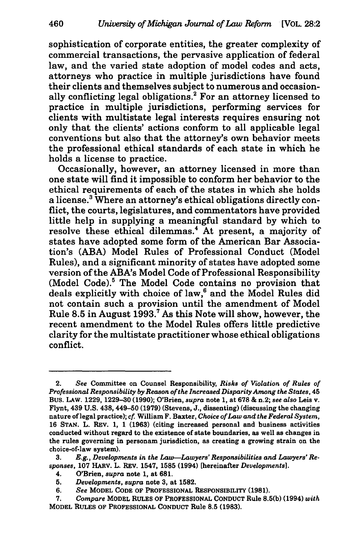sophistication of corporate entities, the greater complexity of commercial transactions, the pervasive application of federal law, and the varied state adoption of model codes and acts, attorneys who practice in multiple jurisdictions have found their clients and themselves subject to numerous and occasionally conflicting legal obligations.<sup>2</sup> For an attorney licensed to practice in multiple jurisdictions, performing services for clients with multistate legal interests requires ensuring not only that the clients' actions conform to all applicable legal conventions but also that the attorney's own behavior meets the professional ethical standards of each state in which he holds a license to practice.

Occasionally, however, an attorney licensed in more than one state will find it impossible to conform her behavior to the ethical requirements of each of the states in which she holds a license.<sup>3</sup> Where an attorney's ethical obligations directly conflict, the courts, legislatures, and commentators have provided little help in supplying a meaningful standard by which to resolve these ethical dilemmas.<sup>4</sup> At present, a majority of states have adopted some form of the American Bar Association's (ABA) Model Rules of Professional Conduct (Model Rules), and a significant minority of states have adopted some version of the ABA's Model Code of Professional Responsibility (Model Code).<sup>5</sup> The Model Code contains no provision that deals explicitly with choice of law,<sup>6</sup> and the Model Rules did not contain such a provision until the amendment of Model Rule 8.5 in August 1993.7 As this Note will show, however, the recent amendment to the Model Rules offers little predictive clarity for the multistate practitioner whose ethical obligations conflict.

<sup>2.</sup> *See* Committee on Counsel Responsibility, *Risks of Violation of Rules of Professional Responsibility* by *Reason of the Increased Disparity Among the States,* 45 Bus. LAW. 1229, 1229-30 (1990); O'Brien, *supra* note 1, at 678 & n.2; *see also* Leis v. Flynt, 439 U.S. 438, 449-50 (1979) (Stevens, J., dissenting) (discussing the changing nature oflegal practice); *cf.* William F. Baxter, *Choice of Law and the Federal System,*  16 STAN. L. REV. 1, 1 (1963) (citing increased personal and business activities conducted without regard to the existence of state boundaries, as well as changes in the rules governing in personam jurisdiction, as creating a growing strain on the choice-of-law system).

<sup>3.</sup> *E.g., Developments in the Law-Lawyers' Responsibilities and Lawyers' Responses,* 107 HARV. L. REV. 1547, 1585 (1994) [hereinafter *Developments].* 

<sup>4.</sup> O'Brien, *supra* note 1, at 681.

<sup>5.</sup> *Developments, supra* note 3, at 1582.

<sup>6.</sup> *See* MODEL CODE OF PROFESSIONAL RESPONSIBILITY (1981).

<sup>7.</sup> *Compare* MODEL RULES OF PROFESSIONAL CONDUCT Rule 8.5(b) (1994) *with*  MODEL RULES OF PROFESSIONAL CONDUCT Rule 8.5 (1983).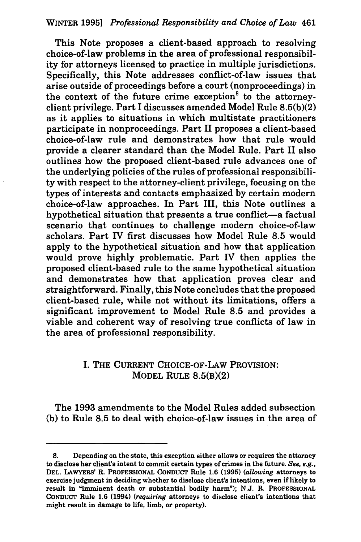This Note proposes a client-based approach to resolving choice-of-law problems in the area of professional responsibility for attorneys licensed to practice in multiple jurisdictions. Specifically, this Note addresses conflict-of-law issues that arise outside of proceedings before a court (nonproceedings) in the context of the future crime exception<sup>8</sup> to the attorneyclient privilege. Part I discusses amended Model Rule 8.5(b)(2) as it applies to situations in which multistate practitioners participate in nonproceedings. Part II proposes a client-based choice-of-law rule and demonstrates how that rule would provide a clearer standard than the Model Rule. Part II also outlines how the proposed client-based rule advances one of the underlying policies of the rules of professional responsibility with respect to the attorney-client privilege, focusing on the types of interests and contacts emphasized by certain modern choice-of-Jaw approaches. In Part III, this Note outlines a hypothetical situation that presents a true conflict—a factual scenario that continues to challenge modern choice-of-law scholars. Part IV first discusses how Model Rule 8.5 would apply to the hypothetical situation and how that application would prove highly problematic. Part IV then applies the proposed client-based rule to the same hypothetical situation and demonstrates how that application proves clear and straightforward. Finally, this Note concludes that the proposed client-based rule, while not without its limitations, offers a significant improvement to Model Rule 8.5 and provides a viable and coherent way of resolving true conflicts of law in the area of professional responsibility.

## I. THE CURRENT CHOICE-OF-LAW PROVISION: MODEL RULE 8.5(B)(2)

The 1993 amendments to the Model Rules added subsection (b) to Rule 8.5 to deal with choice-of-law issues in the area of

<sup>8.</sup> Depending on the state, this exception either allows or requires the attorney to disclose her client's intent to commit certain types of crimes in the future. *See, e.g.,*  DEL. LAWYERS' R. PROFESSIONAL CONDUCT Rule 1.6 (1995) *(allowing* attorneys to exercise judgment in deciding whether to disclose client's intentions, even if likely to result in "imminent death or substantial bodily harm"); N.J. R. PROFESSIONAL CONDUCT Rule 1.6 (1994) *(requiring* attorneys to disclose client's intentions that might result in damage to life, limb, or property).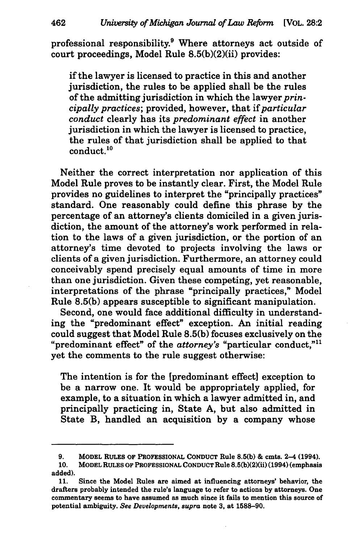professional responsibility.<sup>9</sup> Where attorneys act outside of court proceedings, Model Rule 8.5(b)(2)(ii) provides:

if the lawyer is licensed to practice in this and another jurisdiction, the rules to be applied shall be the rules of the admitting jurisdiction in which the lawyer *principally practices;* provided, however, that if *particular conduct* clearly has its *predominant effect* in another jurisdiction in which the lawyer is licensed to practice. the rules of that jurisdiction shall be applied to that conduct.<sup>10</sup>

Neither the correct interpretation nor application of this Model Rule proves to be instantly clear. First, the Model Rule provides no guidelines to interpret the "principally practices" standard. One reasonably could define this phrase by the percentage of an attorney's clients domiciled in a given jurisdiction, the amount of the attorney's work performed in relation to the laws of a given jurisdiction, or the portion of an attorney's time devoted to projects involving the laws or clients of a given jurisdiction. Furthermore, an attorney could conceivably spend precisely equal amounts of time in more than one jurisdiction. Given these competing, yet reasonable, interpretations of the phrase "principally practices," Model Rule 8.5(b) appears susceptible to significant manipulation.

Second, one would face additional difficulty in understanding the "predominant effect" exception. An initial reading could suggest that Model Rule 8.5(b) focuses exclusively on the "predominant effect" of the *attorney's* "particular conduct,"11 yet the comments to the rule suggest otherwise:

The intention is for the [predominant effect] exception to be a narrow one. It would be appropriately applied, for example, to a situation in which a lawyer admitted in, and principally practicing in, State A, but also admitted in State B, handled an acquisition by a company whose

<sup>9.</sup> MODEL RULES OF PROFESSIONAL CONDUCT Rule 8.5(b) & cmts. 2-4 (1994). 10. MODEL RULES OF PROFESSIONAL CONDUCT Rule 8.5(b)(2)(ii) (1994) (emphasis

added).

<sup>11.</sup> Since the Model Rules are aimed at influencing attorneys' behavior, the drafters probably intended the rule's language to refer to actions by attorneys. One commentary seems to have assumed as much since it fails to mention this source of potential ambiguity. *See Deuelopments, supra* note 3, at 1588-90.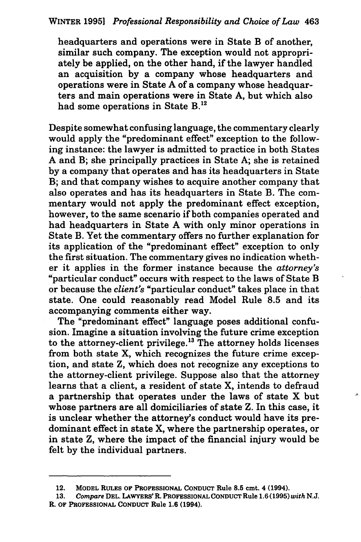headquarters and operations were in State B of another, similar such company. The exception would not appropriately be applied, on the other hand, if the lawyer handled an acquisition by a company whose headquarters and operations were in State A of a company whose headquarters and main operations were in State A, but which also had some operations in State B.<sup>12</sup>

Despite somewhat confusing language, the commentary clearly would apply the "predominant effect" exception to the following instance: the lawyer is admitted to practice in both States A and B; she principally practices in State A; she is retained by a company that operates and has its headquarters in State B; and that company wishes to acquire another company that also operates and has its headquarters in State B. The commentary would not apply the predominant effect exception, however, to the same scenario if both companies operated and had headquarters in State A with only minor operations in State B. Yet the commentary offers no further explanation for its application of the "predominant effect" exception to only the first situation. The commentary gives no indication whether it applies in the former instance because the *attorney's*  "particular conduct" occurs with respect to the laws of State B or because the *client's* "particular conduct" takes place in that state. One could reasonably read Model Rule 8.5 and its accompanying comments either way.

The "predominant effect" language poses additional confusion. Imagine a situation involving the future crime exception to the attorney-client privilege. 13 The attorney holds licenses from both state X, which recognizes the future crime exception, and state Z, which does not recognize any exceptions to the attorney-client privilege. Suppose also that the attorney learns that a client, a resident of state X, intends to defraud a partnership that operates under the laws of state X but whose partners are all domiciliaries of state Z. In this case, it is unclear whether the attorney's conduct would have its predominant effect in state X, where the partnership operates, or in state Z, where the impact of the financial injury would be felt by the individual partners.

<sup>12.</sup> MODEL RULES OF PROFESSIONAL CONDUCT Rule 8.5 cmt. 4 (1994).

<sup>13.</sup> *Compare* DEL. LAWYERS' R. PROFESSIONAL CONDUCT Rule 1.6 (1995) *with* N.J. R. OF PROFESSIONAL CONDUCT Rule 1.6 (1994).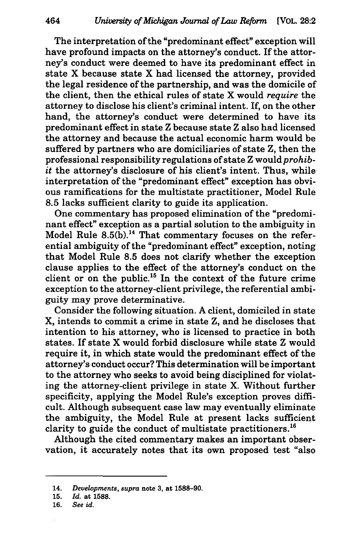The interpretation of the "predominant effect" exception will have profound impacts on the attorney's conduct. If the attorney's conduct were deemed to have its predominant effect in state X because state X had licensed the attorney, provided the legal residence of the partnership, and was the domicile of the client, then the ethical rules of state X would *require* the attorney to disclose his client's criminal intent. If, on the other hand, the attorney's conduct were determined to have its predominant effect in state Z because state Z also had licensed the attorney and because the actual economic harm would be suffered by partners who are domiciliaries of state Z, then the professional responsibility regulations of state Z would *prohibit* the attorney's disclosure of his client's intent. Thus, while interpretation of the "predominant effect" exception has obvious ramifications for the multistate practitioner, Model Rule 8.5 lacks sufficient clarity to guide its application.

One commentary has proposed elimination of the "predominant effect" exception as a partial solution to the ambiguity in Model Rule  $8.5(b)$ .<sup>14</sup> That commentary focuses on the referential ambiguity of the "predominant effect" exception, noting that Model Rule 8.5 does not clarify whether the exception clause applies to the effect of the attorney's conduct on the client or on the public.15 In the context of the future crime exception to the attorney-client privilege, the referential ambiguity may prove determinative.

Consider the following situation. A client, domiciled in state X, intends to commit a crime in state Z, and he discloses that intention to his attorney, who is licensed to practice in both states. If state X would forbid disclosure while state Z would require it, in which state would the predominant effect of the attorney's conduct occur? This determination will be important to the attorney who seeks to avoid being disciplined for violating the attorney-client privilege in state X. Without further specificity, applying the Model Rule's exception proves difficult. Although subsequent case law may eventually eliminate the ambiguity, the Model Rule at present lacks sufficient clarity to guide the conduct of multistate practitioners. <sup>16</sup>

Although the cited commentary makes an important observation, it accurately notes that its own proposed test "also

<sup>14.</sup> *Developments, supra* note 3, at 1588-90.

<sup>15.</sup> *Id.* at 1588.

<sup>16.</sup> *See id.*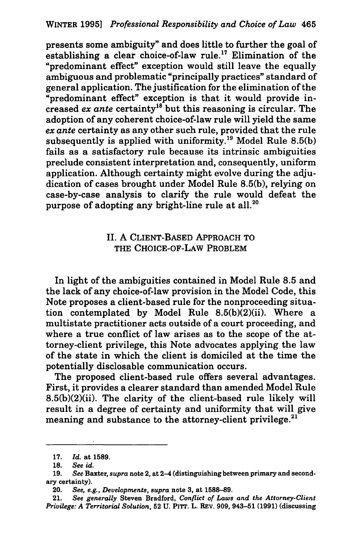presents some ambiguity" and does little to further the goal of establishing a clear choice-of-law rule.<sup>17</sup> Elimination of the "predominant effect" exception would still leave the equally ambiguous and problematic "principally practices" standard of general application. The justification for the elimination of the "predominant effect" exception is that it would provide increased *ex ante* certainty18 but this reasoning is circular. The adoption of any coherent choice-of-law rule will yield the same *ex ante* certainty as any other such rule, provided that the rule subsequently is applied with uniformity.<sup>19</sup> Model Rule 8.5(b) fails as a satisfactory rule because its intrinsic ambiguities preclude consistent interpretation and, consequently, uniform application. Although certainty might evolve during the adjudication of cases brought under Model Rule 8.5(b), relying on case-by~case analysis to clarify the rule would defeat the purpose of adopting any bright-line rule at all.<sup>20</sup>

## II. A CLIENT-BASED APPROACH TO THE CHOICE-OF-LAW PROBLEM

In light of the ambiguities contained in Model Rule 8.5 and the lack of any choice-of-law provision in the Model Code, this Note proposes a client-based rule for the nonproceeding situation contemplated by Model Rule 8.5(b)(2)(ii). Where a multistate practitioner acts outside of a court proceeding, and where a true conflict of law arises as to the scope of the attorney-client privilege, this Note advocates applying the law of the state in which the client is domiciled at the time the potentially disclosable communication occurs.

The proposed client-based rule offers several advantages. First, it provides a clearer standard than amended Model Rule 8.5(b)(2)(ii). The clarity of the client-based rule likely will result in a degree of certainty and uniformity that will give meaning and substance to the attorney-client privilege. <sup>21</sup>

<sup>17.</sup> *Id.* at 1589.

<sup>18.</sup> *See id.* 

<sup>19.</sup> *See* Baxter, *supra* note 2, at 2-4 (distinguishing between primary and secondary certainty).

<sup>20.</sup> *See, e.g., Developments, supra* note 3, at 1588-89.

<sup>21.</sup> *See generally* Steven Bradford, *Conflict of Laws and the Attorney-Client Privilege: A Territorial Solution,* 52 U. PITT. L. REV. 909, 943-51 (1991) (discussing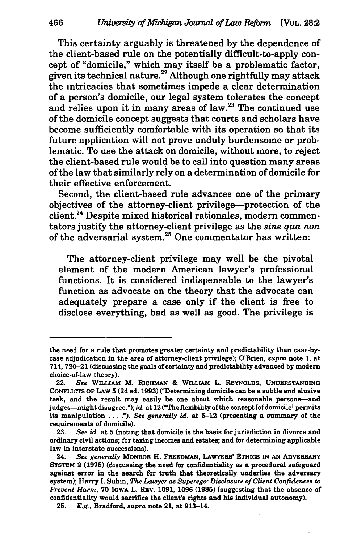This certainty arguably is threatened by the dependence of the client-based rule on the potentially difficult-to-apply concept of "domicile," which may itself be a problematic factor, given its technical nature.<sup>22</sup> Although one rightfully may attack the intricacies that sometimes impede a clear determination of a person's domicile, our legal system tolerates the concept and relies upon it in many areas of law. $23$  The continued use of the domicile concept suggests that courts and scholars have become sufficiently comfortable with its operation so that its future application will not prove unduly burdensome or problematic. To use the attack on domicile, without more, to reject the client-based rule would be to call into question many areas of the law that similarly rely on a determination of domicile for their effective enforcement.

Second, the client-based rule advances one of the primary objectives of the attorney-client privilege-protection of the client.<sup>24</sup> Despite mixed historical rationales, modern commentators justify the attorney-client privilege as the *sine qua non*  of the adversarial system.<sup>25</sup> One commentator has written:

The attorney-client privilege may well be the pivotal element of the modern American lawyer's professional functions. It is considered indispensable to the lawyer's function as advocate on the theory that the advocate can adequately prepare a case only if the client is free to disclose everything, bad as well as good. The privilege is

the need for a rule that promotes greater certainty and predictability than case-bycase adjudication in the area of attorney-client privilege); O'Brien, *supra* note 1, at 714, 720-21 (discussing the goals of certainty and predictability advanced by modem choice-of-law theory).

<sup>22.</sup> *See* WILLIAM M. RICHMAN & WILLIAM L. REYNOLDS, UNDERSTANDING CONFLICTS OF LAW 5 (2d ed. 1993) ("Determining domicile can be a subtle and elusive task, and the result may easily be one about which reasonable persons-and judges-might disagree."); *id.* at 12 ("The flexibility of the concept [of domicile] permits its manipulation .... "). *See generally* id. at 5-12 (presenting a summary of the requirements of domicile).

<sup>23.</sup> *See id.* at 5 (noting that domicile is the basis for jurisdiction in divorce and ordinary civil actions; for taxing incomes and estates; and for determining applicable law in interstate successions).

<sup>24.</sup> *See generally* MONROE H. FREEDMAN, LAWYERS' ETHICS IN AN ADVERSARY SYSTEM 2 (1975) (discussing the need for confidentiality as a procedural safeguard against error in the search for truth that theoretically underlies the adversary system); Harry I. Subin, *The Lawyer as Superego: Disclosure of Client Confidences to Prevent Harm,* 70 IOWA L. REV. 1091, 1096 (1985) (suggesting that the absence of confidentiality would sacrifice the client's rights and his individual autonomy).

<sup>25.</sup> *E.g.,* Bradford, *supra* note 21, at 913-14.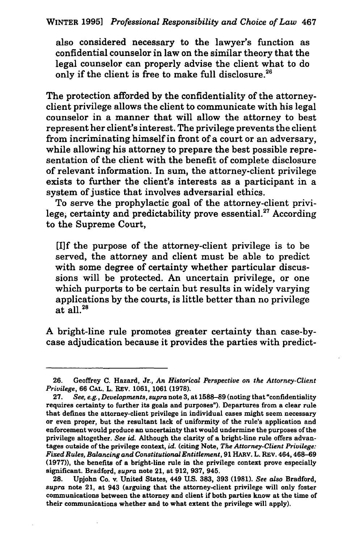also considered necessary to the lawyer's function as confidential counselor in law on the similar theory that the legal counselor can properly advise the client what to do only if the client is free to make full disclosure.<sup>26</sup>

The protection afforded by the confidentiality of the attorneyclient privilege allows the client to communicate with his legal counselor in a manner that will allow the attorney to best represent her client's interest. The privilege prevents the client from incriminating himself in front of a court or an adversary, while allowing his attorney to prepare the best possible representation of the client with the benefit of complete disclosure of relevant information. In sum, the attorney-client privilege exists to further the client's interests as a participant in a system of justice that involves adversarial ethics.

To serve the prophylactic goal of the attorney-client privilege; certainty and predictability prove essential.<sup>27</sup> According to the Supreme Court,

[l]f the purpose of the attorney-client privilege is to be served, the attorney and client must be able to predict with some degree of certainty whether particular discussions will be protected. An uncertain privilege, or one which purports to be certain but results in widely varying applications by the courts, is little better than no privilege at all. $^{28}$ 

A bright-line rule promotes greater certainty than case-bycase adjudication because it provides the parties with predict-

<sup>26.</sup> Geoffrey C. Hazard, Jr., *An Historical Perspective on the Attorney·Client Privilege,* 66 CAL. L. REV. 1061, 1061 (1978).

<sup>27.</sup> *See, e.g., Developments, supra* note 3, at 1588-89 (noting that "confidentiality requires certainty to further its goals and purposes"). Departures from a clear rule that defines the attorney-client privilege in individual cases might seem necessary or even proper, but the resultant lack of uniformity of the rule's application and enforcement would produce an uncertainty that would undermine the purposes of the privilege altogether. *See* id. Although the clarity of a bright-line rule offers advantages outside of the privilege context, id. (citing Note, *The Attorney-Client Privilege: Fixed Rules, Balancing and Constitutional Entitlement,* 91 HARV. L. REV. 464, 468-69 (1977)), the benefits of a bright-line rule in the privilege context prove especially significant. Bradford, *supra* note 21, at 912, 937, 945.

<sup>28.</sup> Upjohn Co. v. United States, 449 U.S. 383, 393 (1981). *See also* Bradford, *supra* note 21, at 943 (arguing that the attorney-client privilege will only foster communications between the attorney and client if both parties know at the time of their communications whether and to what extent the privilege will apply).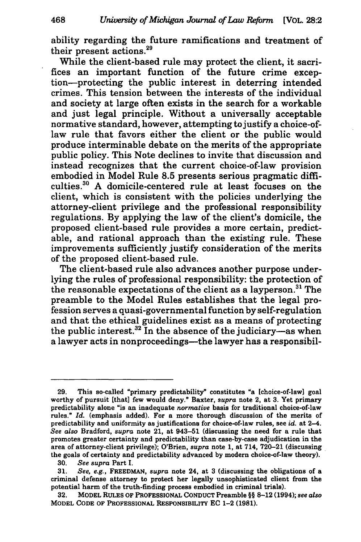ability regarding the future ramifications and treatment of their present actions.<sup>29</sup>

While the client-based rule may protect the client, it sacrifices an important function of the future crime exception-protecting the public interest in deterring intended crimes. This tension between the interests of the individual and society at large often exists in the search for a workable and just legal principle. Without a universally acceptable normative standard, however, attempting to justify a choice-oflaw rule that favors either the client or the public would produce interminable debate on the merits of the appropriate public policy. This Note declines to invite that discussion and instead recognizes that the current choice-of-law provision embodied in Model Rule 8.5 presents serious pragmatic difficulties.30 A domicile-centered rule at least focuses on the client, which is consistent with the policies underlying the attorney-client privilege and the professional responsibility regulations. By applying the law of the client's domicile, the proposed client-based rule provides a more certain, predictable, and rational approach than the existing rule. These improvements sufficiently justify consideration of the merits of the proposed client-based rule.

The client-based rule also advances another purpose underlying the rules of professional responsibility: the protection of the reasonable expectations of the client as a layperson.31 The preamble to the Model Rules establishes that the legal profession serves a quasi-governmental function by self-regulation and that the ethical guidelines exist as a means of protecting the public interest. $32$  In the absence of the judiciary-as when a lawyer acts in nonproceedings—the lawyer has a responsibil-

30. *See supra* Part I.

<sup>29.</sup> This so-called "primary predictability" constitutes "a [choice-of-law] goal worthy of pursuit [that] few would deny." Baxter, *supra* note 2, at 3. Yet primary predictability alone "is an inadequate *normative* basis for traditional choice-of-law rules." *Id.* (emphasis added). For a more thorough discussion of the merits of predictability and uniformity as justifications for choice-of-law rules, see id. at 2-4. *See also* Bradford, *supra* note 21, at 943-51 {discussing the need for a rule that promotes greater certainty and predictability than case-by-case adjudication in the area of attorney-client privilege); O'Brien, *supra* note 1, at 714, 720-21 {discussing . the goals of certainty and predictability advanced by modern choice-of-law theory).

<sup>31.</sup> *See, e.g.,* FREEDMAN, *supra* note 24, at 3 {discussing the obligations of a criminal defense attorney to protect her legally unsophisticated client from the potential harm of the truth-finding process embodied in criminal trials).

<sup>32.</sup> MODEL RULES OF PROFESSIONAL CONDUCT Preamble§§ 8-12 (1994); *see also*  MODEL CODE OF PROFESSIONAL RESPONSIBILITY EC 1-2 (1981).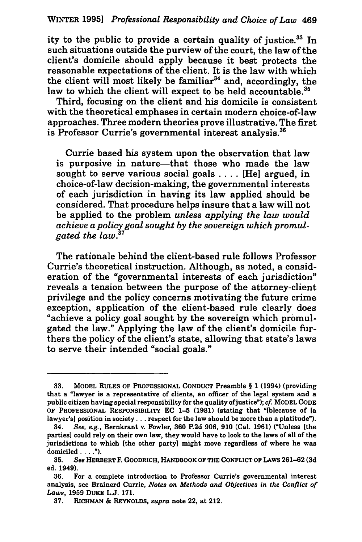ity to the public to provide a certain quality of justice.<sup>33</sup> In such situations outside the purview of the court, the law of the client's domicile should apply because it best protects the reasonable expectations of the client. It is the law with which the client will most likely be familiar<sup>34</sup> and, accordingly, the law to which the client will expect to be held accountable.<sup>35</sup>

Third, focusing on the client and his domicile is consistent with the theoretical emphases in certain modern choice-of-law approaches. Three modern theories prove illustrative. The first is Professor Currie's governmental interest analysis.<sup>36</sup>

Currie based his system upon the observation that law is purposive in nature-that those who made the law sought to serve various social goals .... [He] argued, in choice-of-law decision-making, the governmental interests of each jurisdiction in having its law applied should be considered. That procedure helps insure that a law will not be applied to the problem *unless applying the law would achieve a policy goal sought by the sovereign which promulgated the law.* <sup>37</sup>

The rationale behind the client-based rule follows Professor Currie's theoretical instruction. Although, as noted, a consideration of the "governmental interests of each jurisdiction" reveals a tension between the purpose of the attorney-client privilege and the policy concerns motivating the future crime exception, application of the client-based rule clearly does "achieve a policy goal sought by the sovereign which promulgated the law." Applying the law of the client's domicile furthers the policy of the client's state, allowing that state's laws to serve their intended "social goals."

<sup>33.</sup> MODEL RULES OF PROFESSIONAL CONDUCT Preamble § 1 (1994) {providing that a "lawyer is a representative of clients, an officer of the legal system and a public citizen having special responsibility for the quality of justice"); *cf.* MODEL CODE OF PROFESSIONAL RESPONSIBILITY EC 1-5 (1981) {stating that "[b]ecause of [a lawyer's] position in society . . . respect for the law should be more than a platitude").

<sup>34.</sup> *See, e.g.,* Bernkrant v. Fowler, 360 P.2d 906, 910 {Cal. 1961) {"Unless [the parties] could rely on their own law, they would have to look to the laws of all of the jurisdictions to which [the other party] might move regardless of where he was domiciled  $\dots$ .").<br>35. See HERE

<sup>35.</sup> *See* HERBERT F. GoODRICH, HANDBOOK OF THE CONFLICT OF LAWS 261-62 {3d ed. 1949).

<sup>36.</sup> For a complete introduction to Professor Currie's governmental interest analysis, see Brainerd Currie, *Notes on Methods and Objectives in the Conflict of Laws,* 1959 DUKE L.J. 171.

<sup>37.</sup> RICHMAN & REYNOLDS, *supra* note 22, at 212.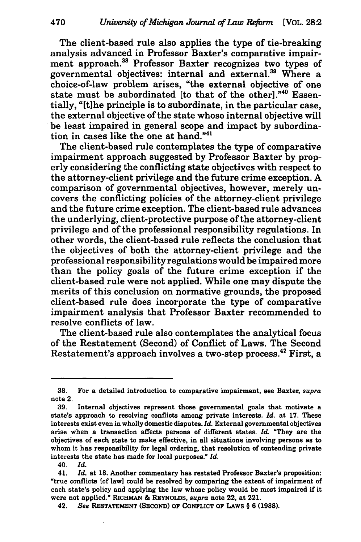The client-based rule also applies the type of tie-breaking analysis advanced in Professor Baxter's comparative impairment approach.<sup>38</sup> Professor Baxter recognizes two types of governmental objectives: internal and external.39 Where a choice-of-law problem arises, "the external objective of one state must be subordinated [to that of the other]."40 Essentially, "[t]he principle is to subordinate, in the particular case, the external objective of the state whose internal objective will be least impaired in general scope and impact by subordination in cases like the one at hand." $41$ 

The client-based rule contemplates the type of comparative impairment approach suggested by Professor Baxter by properly considering the conflicting state objectives with respect to the attorney-client privilege and the future crime exception. A comparison of governmental objectives, however, merely uncovers the conflicting policies of the attorney-client privilege and the future crime exception. The client-based rule advances the underlying, client-protective purpose of the attorney-client privilege and of the professional responsibility regulations. In other words, the client-based rule reflects the conclusion that the objectives of both the attorney-client privilege and the professional responsibility regulations would be impaired more than the policy goals of the future crime exception if the client-based rule were not applied. While one may dispute the merits of this conclusion on normative grounds, the proposed client-based rule does incorporate the type of comparative impairment analysis that Professor Baxter recommended to resolve conflicts of law.

The client-based rule also contemplates the analytical focus of the Restatement (Second) of Conflict of Laws. The Second Restatement's approach involves a two-step process.<sup>42</sup> First, a

<sup>38.</sup> For a detailed introduction to comparative impairment, see Baxter, *supra*  note 2.

<sup>39.</sup> Internal objectives represent those governmental goals that motivate a state's approach to resolving conflicts among private interests. *Id.* at 17. These interests exist even in wholly domestic disputes. *Id.* External governmental objectives arise when a transaction affects persons of different states. *Id.* "They are the objectives of each state to make effective, in all situations involving persons as to whom it has responsibility for legal ordering, that resolution of contending private interests the state has made for local purposes." Id.

<sup>40.</sup> *Id.* 

<sup>41.</sup> *Id.* at 18. Another commentary has restated Professor Baxter's proposition: "true conflicts [of law] could be resolved by comparing the extent of impairment of each state's policy and applying the law whose policy would be most impaired if it were not applied." RICHMAN & REYNOLDS, *supra* note 22, at 221.

<sup>42.</sup> *See* RESTATEMENT (SECOND) OF CONFLICT OF LAWS § 6 (1988).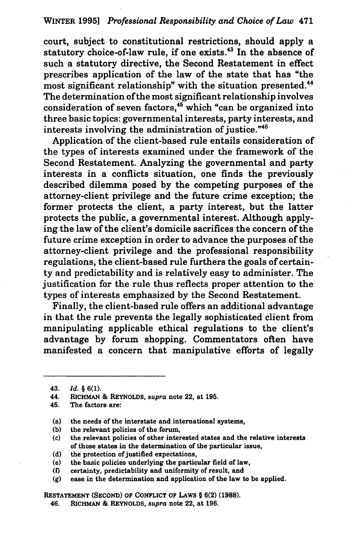#### WINTER 1995) *Professional Responsibility and Choice of Law* 471

court, subject to constitutional restrictions, should apply a statutory choice-of-law rule, if one exists.<sup>43</sup> In the absence of such a statutory directive, the Second Restatement in effect prescribes application of the law of the state that has "the most significant relationship" with the situation presented.<sup>44</sup> The determination of the most significant relationship involves consideration of seven factors, $45$  which "can be organized into three basic topics: governmental interests, party interests, and interests involving the administration of justice."<sup>46</sup>

Application of the client-based rule entails consideration of the types of interests examined under the framework of the Second Restatement. Analyzing the governmental and party interests in a conflicts situation, one finds the previously described dilemma posed by the competing purposes of the attorney-client privilege and the future crime exception; the former protects the client, a party interest, but the latter protects the public, a governmental interest. Although applying the law of the client's domicile sacrifices the concern of the future crime exception in order to advance the purposes of the attorney-client privilege and the professional responsibility regulations, the client-based rule furthers the goals of certainty and predictability and is relatively easy to administer. The justification for the rule thus reflects proper attention to the types of interests emphasized by the Second Restatement.

Finally, the client-based rule offers an additional advantage in that the rule prevents the legally sophisticated client from manipulating applicable ethical regulations to the client's advantage by forum shopping. Commentators often have manifested a concern that manipulative efforts of legally

- (b) the relevant policies of the forum,
- (c) the relevant policies of other interested states and the relative interests of those states in the determination of the particular issue,
- (d) the protection of justified expectations,
- (e) the basic policies underlying the particular field of law,
- (f) certainty, predictability and uniformity of result, and
- (g) ease in the determination and application of the law to be applied.

RESTATEMENT (SECOND) OF CONFLICT OF LAWS§ 6(2) (1988).

46. RICHMAN & REYNOLDS, *supra* note 22, at 196.

<sup>43.</sup> *Id.* § 6(1).

<sup>44.</sup> RICHMAN & REYNOLDS, *supra* note 22, at 195.

<sup>45.</sup> The factors are:

<sup>(</sup>a) the needs of the interstate and international systems,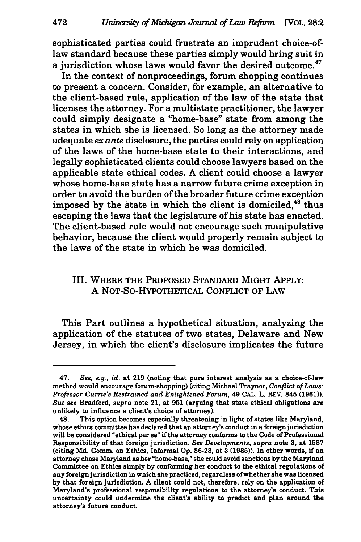sophisticated parties could frustrate an imprudent choice-oflaw standard because these parties simply would bring suit in a jurisdiction whose laws would favor the desired outcome.<sup>47</sup>

In the context of nonproceedings, forum shopping continues to present a concern. Consider, for example, an alternative to the client-based rule, application of the law of the state that licenses the attorney. For a multistate practitioner, the lawyer could simply designate a "home-base" state from among the states in which she is licensed. So long as the attorney made adequate *ex ante* disclosure, the parties could rely on application of the laws of the home-base state to their interactions, and legally sophisticated clients could choose lawyers based on the applicable state ethical codes. A client could choose a lawyer whose home-base state has a narrow future crime exception in order to avoid the burden of the broader future crime exception imposed by the state in which the client is domiciled, $48$ <sup>thus</sup> escaping the laws that the legislature of his state has enacted. The client-based rule would not encourage such manipulative behavior, because the client would properly remain subject to the laws of the state in which he was domiciled.

## III. WHERE THE PROPOSED STANDARD MIGHT APPLY: A NOT-SO-HYPOTHETICAL CONFLICT OF LAW

This Part outlines a hypothetical situation, analyzing the application of the statutes of two states, Delaware and New Jersey, in which the client's disclosure implicates the future

<sup>47.</sup> *See, e.g., id.* at 219 (noting that pure interest analysis as a choice-of-law method would encourage forum-shopping) (citing Michael Traynor, *Conflict of Laws: Professor Currie's Restrained and Enlightened Forum,* 49 CAL. L. REV. 845 (1961)). *But see* Bradford, *supra* note 21, at 951 (arguing that state ethical obligations are unlikely to influence a client's choice of attorney).

<sup>48.</sup> This option becomes especially threatening in light of states like Maryland, whose ethics committee has declared that an attorney's conduct in a foreign jurisdiction will be considered "ethical per se" if the attorney conforms to the Code of Professional Responsibility of that foreign jurisdiction. *See Developments, supra* note 3, at 1587 (citing Md. Comm. on Ethics, Informal Op. 86-28, at 3 (1985)). In other words, if an attorney chose Maryland as her "home-base," she could avoid sanctions by the Maryland Committee on Ethics simply by conforming her conduct to the ethical regulations of any foreign jurisdiction in which she practiced, regardless of whether she was licensed by that foreign jurisdiction. A client could not, therefore, rely on the application of Maryland's professional responsibility regulations to the attorney's conduct. This uncertainty could undermine the client's ability to predict and plan around the attorney's future conduct.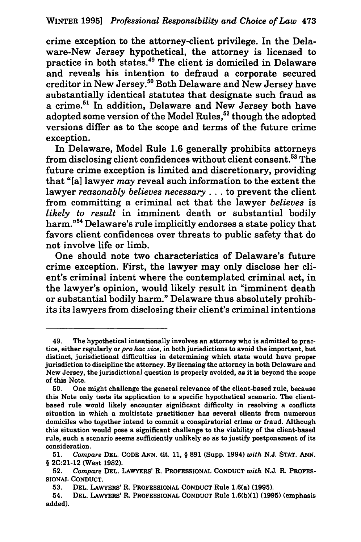crime exception to the attorney-client privilege. In the Delaware-New Jersey hypothetical, the attorney is licensed to practice in both states.49 The client is domiciled in Delaware and reveals his intention to defraud a corporate secured creditor in New Jersey.50 Both Delaware and New Jersey have substantially identical statutes that designate such fraud as a crime.51 In addition, Delaware and New Jersey both have adopted some version of the Model Rules.<sup>52</sup> though the adopted versions differ as to the scope and terms of the future crime exception.

In Delaware, Model Rule 1.6 generally prohibits attorneys from disclosing client confidences without client consent. 53 The future crime exception is limited and discretionary, providing that "[a] lawyer *may* reveal such information to the extent the lawyer *reasonably believes necessary* ... to prevent the client from committing a criminal act that the lawyer *believes* is *likely to result* in imminent death or substantial bodily harm."54 Delaware's rule implicitly endorses a state policy that favors client confidences over threats to public safety that do not involve life or limb.

One should note two characteristics of Delaware's future crime exception. First, the lawyer may only disclose her client's criminal intent where the contemplated criminal act, in the lawyer's opinion, would likely result in "imminent death or substantial bodily harm." Delaware thus absolutely prohibits its lawyers from disclosing their client's criminal intentions

<sup>49.</sup> The hypothetical intentionally involves an attorney who is admitted to practice, either regularly or *pro hac vice,* in both jurisdictions to avoid the important, but distinct, jurisdictional difficulties in determining which state would have proper jurisdiction to discipline the attorney. By licensing the attorney in both Delaware and New Jersey, the jurisdictional question is properly avoided, as it is beyond the scope of this Note.

<sup>50.</sup> One might challenge the general relevance of the client-based rule, because this Note only tests its application to a specific hypothetical scenario. The clientbased rule would likely encounter significant difficulty in resolving a conflicts situation in which a multistate practitioner has several clients from numerous domiciles who together intend to commit a conspiratorial crime or fraud. Although this situation would pose a significant challenge to the viability of the client-based rule, such a scenario seems sufficiently unlikely so as to justify postponement of its consideration.

<sup>51.</sup> *Compare* DEL. CODE ANN. tit. 11, § 891 (Supp. 1994) *with* N.J. STAT. ANN. § 2C:21-12 (West 1982).

<sup>52.</sup> *Compare* DEL. LAWYERS' R. PROFESSIONAL CONDUCT *with* N.J. R. PROFES-SIONAL CONDUCT.

<sup>53.</sup> DEL. LAWYERS' R. PROFESSIONAL CONDUCT Rule l.6(a) (1995).

<sup>54.</sup> DEL. LAWYERS' R. PROFESSIONAL CONDUCT Rule l.6(b)(l) (1995) (emphasis added).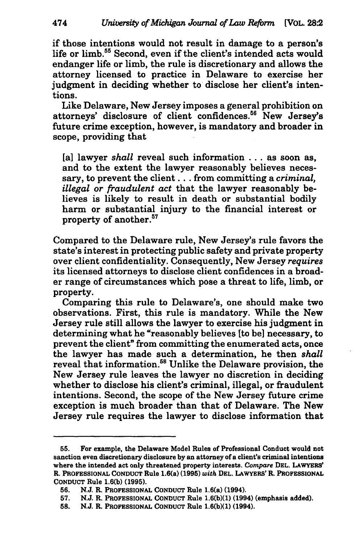if those intentions would not result in damage to a person's life or limb. 55 Second, even if the client's intended acts would endanger life or limb, the rule is discretionary and allows the attorney licensed to practice in Delaware to exercise her judgment in deciding whether to disclose her client's intentions.

Like Delaware, New Jersey imposes a general prohibition on attorneys' disclosure of client confidences.<sup>56</sup> New Jersey's future crime exception, however, is mandatory and broader in scope, providing that

[a] lawyer *shall* reveal such information . . . as soon as, and to the extent the lawyer reasonably believes necessary, to prevent the client ... from committing a *criminal, illegal or fraudulent act* that the lawyer reasonably believes is likely to result in death or substantial bodily harm or substantial injury to the financial interest or property of another. 57

Compared to the Delaware rule, New Jersey's rule favors the state's interest in protecting public safety and private property over client confidentiality. Consequently, New Jersey *requires*  its licensed attorneys to disclose client confidences in a broader range of circumstances which pose a threat to life, limb, or property.

Comparing this rule to Delaware's, one should make two observations. First, this rule is mandatory. While the New Jersey rule still allows the lawyer to exercise his judgment in determining what he "reasonably believes [to be) necessary, to prevent the client" from committing the enumerated acts, once the lawyer has made such a determination, he then *shall*  reveal that information.<sup>58</sup> Unlike the Delaware provision, the New Jersey rule leaves the lawyer no discretion in deciding whether to disclose his client's criminal, illegal, or fraudulent intentions. Second, the scope of the New Jersey future crime exception is much broader than that of Delaware. The New Jersey rule requires the lawyer to disclose information that

<sup>55.</sup> For example, the Delaware Model Rules of Professional Conduct would not sanction even discretionary disclosure by an attorney of a client's criminal intentions where the intended act only threatened property interests. Compare DEL. LAWYERS' R. PROFESSIONAL CONDUCT Rule 1.6(a) (1995) *with* DEL. LAWYERS' R. PROFESSIONAL CONDUCT Rule 1.6(b) (1995).

<sup>56.</sup> N.J. R. PROFESSIONAL CONDUCT Rule 1.6(a) (1994).

<sup>57.</sup> N.J. R. PROFESSIONAL CONDUCT Rule l.6(b)(l) (1994) (emphasis added).

<sup>58.</sup> N.J. R. PROFESSIONAL CONDUCT Rule l.6(b)(l) (1994).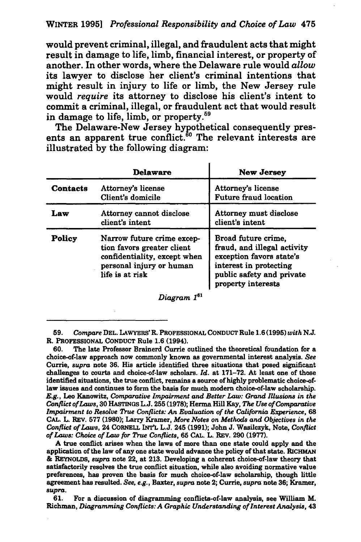would prevent criminal, illegal, and fraudulent acts that might result in damage to life, limb, financial interest, or property of another. In other words, where the Delaware rule would *allow*  its lawyer to disclose her client's criminal intentions that might result in injury to life or limb, the New Jersey rule would *require* its attorney to disclose his client's intent to commit a criminal, illegal, or fraudulent act that would result in damage to life, limb, or property.<sup>59</sup>

The Delaware-New Jersey hypothetical consequently presents an apparent true conflict.<sup>60</sup> The relevant interests are illustrated by the following diagram:

|                 | Delaware                                                                                                                                | New Jersey                                                                                                                                                  |  |
|-----------------|-----------------------------------------------------------------------------------------------------------------------------------------|-------------------------------------------------------------------------------------------------------------------------------------------------------------|--|
| <b>Contacts</b> | Attorney's license<br>Client's domicile                                                                                                 | Attorney's license<br><b>Future fraud location</b>                                                                                                          |  |
| Law             | Attorney cannot disclose<br>client's intent                                                                                             | Attorney must disclose<br>client's intent                                                                                                                   |  |
| Policy          | Narrow future crime excep-<br>tion favors greater client<br>confidentiality, except when<br>personal injury or human<br>life is at risk | Broad future crime,<br>fraud, and illegal activity<br>exception favors state's<br>interest in protecting<br>public safety and private<br>property interests |  |

*Diagram* 1<sup>61</sup>

60. The late Professor Brainerd Currie outlined the theoretical foundation for a choice-of-law approach now commonly known as governmental interest analysis. *See*  Currie, *supra* note 36. His article identified three situations that posed significant challenges to courts and choice-of-law scholars. *Id.* at 171-72. At least one of those identified situations, the true conflict, remains a source of highly problematic choice-oflaw issues and continues to form the basis for much modern choice-of-law scholarship. *E.g.,* Leo Kanowitz, *Comparative Impairment and Better Law: Grand Rlusions in the Conflict of Laws,* 30 liAsTINGS L.J. 255 (1978); Herma Hill Kay, *The Use of Comparative*  Impairment to Resolve True Conflicts: An Evaluation of the California Experience, 68 CAL. L. REV. 577 (1980); Larry Kramer, *More Notes on Methods and Objectives in the Conflict of Laws,* 24 CORNELL INT'L L.J. 245 (1991); John J. Wasilczyk, Note, *Conflict of Laws: Choice of Law for True Conflicts,* 65 CAL. L. REV. 290 (1977).

A true conflict arises when the laws of more than one state could apply and the application of the law of any one state would advance the policy of that state. RICHMAN & REYNOLDS, *supra* note 22, at 213. Developing a coherent choice-of-law theory that satisfactorily resolves the true conflict situation, while also avoiding normative value preferences, has proven the basis for much choice-of-law scholarship, though little agreement has resulted. *See, e.g.,* Baxter, *supra* note 2; Currie, *supra* note 36; Kramer, *supra.* 

61. For a discussion of diagramming conflicts-of-law analysis, see William M. Richman, *Diagramming Conflicts: A Graphic Understanding of Interest Analysis,* 43

<sup>59.</sup> *Compare* DEL. LAWYERS' R. PROFESSIONAL CONDUCT Rule 1.6 (1995) *with* N.J. R. PROFESSIONAL CONDUCT Rule 1.6 (1994).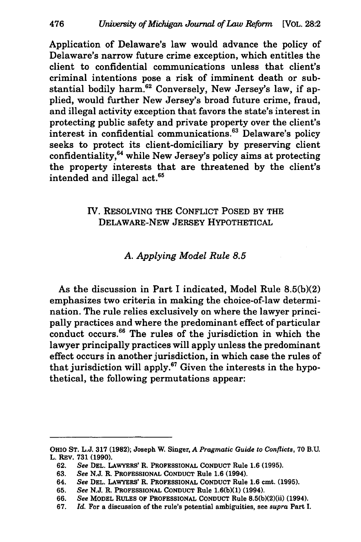Application of Delaware's law would advance the policy of Delaware's narrow future crime exception, which entitles the client to confidential communications unless that client's criminal intentions pose a risk of imminent death or substantial bodily harm.<sup>62</sup> Conversely, New Jersey's law, if applied, would further New Jersey's broad future crime, fraud, and illegal activity exception that favors the state's interest in protecting public safety and private property over the client's interest in confidential communications.63 Delaware's policy seeks to protect its client-domiciliary by preserving client confidentiality,64 while New Jersey's policy aims at protecting the property interests that are threatened by the client's intended and illegal act. 65

## IV. RESOLVING THE CONFLICT POSED BY THE DELAWARE-NEW JERSEY HYPOTHETICAL

## *A. Applying Model Rule 8.5*

As the discussion in Part I indicated, Model Rule 8.5(b)(2) emphasizes two criteria in making the choice-of-law determination. The rule relies exclusively on where the lawyer principally practices and where the predominant effect of particular conduct occurs.<sup>66</sup> The rules of the jurisdiction in which the lawyer principally practices will apply unless the predominant effect occurs in another jurisdiction, in which case the rules of that jurisdiction will apply. $67$  Given the interests in the hypothetical, the following permutations appear:

OHIO ST. L.J. 317 (1982); Joseph W. Singer, *A Pragmatic Guide to Conflicts,* 70 B.U. L. REV. 731 (1990).

<sup>62.</sup> *See* DEL. LAWYERS' R. PROFESSIONAL CONDUCT Rule 1.6 (1995).

<sup>63.</sup> *See* N.J. R. PROFESSIONAL CONDUCT Rule 1.6 (1994).

<sup>64.</sup> *See* DEL. LAWYERS' R. PROFESSIONAL CONDUCT Rule 1.6 cmt. (1995).

<sup>65.</sup> *See* N.J. R. PROFESSIONAL CONDUCT Rule 1.6(b)(l) (1994).

<sup>66.</sup> *See* MODEL RULES OF PROFESSIONAL CONDUCT Rule 8.5(b)(2)(ii) (1994).

<sup>67.</sup> *Id.* For a discussion of the rule's potential ambiguities, see *supra* Part I.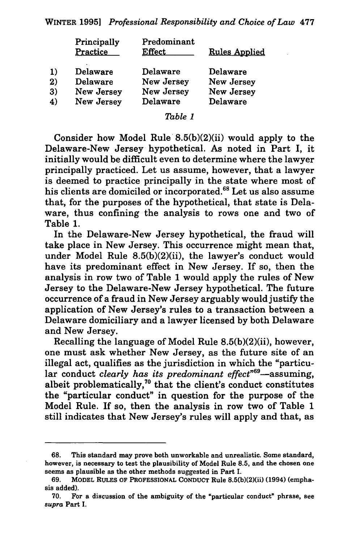| Principally<br>Practice | Predominant<br><b>Effect</b> | <b>Rules Applied</b> |
|-------------------------|------------------------------|----------------------|
| <b>Delaware</b>         | Delaware                     | Delaware             |
| <b>Delaware</b>         | New Jersey                   | New Jersey           |
| New Jersey              | New Jersey                   | New Jersey           |
| New Jersey              | Delaware                     | Delaware             |
|                         |                              |                      |

#### *Table I*

Consider how Model Rule  $8.5(b)(2)(ii)$  would apply to the Delaware-New Jersey hypothetical. As noted in Part I, it initially would be difficult even to determine where the lawyer principally practiced. Let us assume, however, that a lawyer is deemed to practice principally in the state where most of his clients are domiciled or incorporated.<sup>68</sup> Let us also assume that, for the purposes of the hypothetical, that state is Delaware, thus confining the analysis to rows one and two of Table 1.

In the Delaware-New Jersey hypothetical, the fraud will take place in New Jersey. This occurrence might mean that, under Model Rule 8.5(b)(2)(ii), the lawyer's conduct would have its predominant effect in New Jersey. If so, then the analysis in row two of Table 1 would apply the rules of New Jersey to the Delaware-New Jersey hypothetical. The future occurrence of a fraud in New Jersey arguably would justify the application of New Jersey's rules to a transaction between a Delaware domiciliary and a lawyer licensed by both Delaware and New Jersey.

Recalling the language of Model Rule 8.5(b)(2)(ii), however, one must ask whether New Jersey, as the future site of an illegal act, qualifies as the jurisdiction in which the "particular conduct *clearly has its predominant effect*<sup>669</sup>—assuming, albeit problematically, $70$  that the client's conduct constitutes the "particular conduct" in question for the purpose of the Model Rule. If so, then the analysis in row two of Table 1 still indicates that New Jersey's rules will apply and that, as

This standard may prove both unworkable and unrealistic. Some standard, however, is necessary to test the plausibility of Model Rule 8.5, and the chosen one seems as plausible as the other methods suggested in Part I.

<sup>69.</sup> MODEL RULES OF PROFESSIONAL CONDUCT Rule 8.5(b)(2)(ii) (1994) (emphasis added).

<sup>70.</sup> For a discussion of the ambiguity of the "particular conduct" phrase, see supra Part I.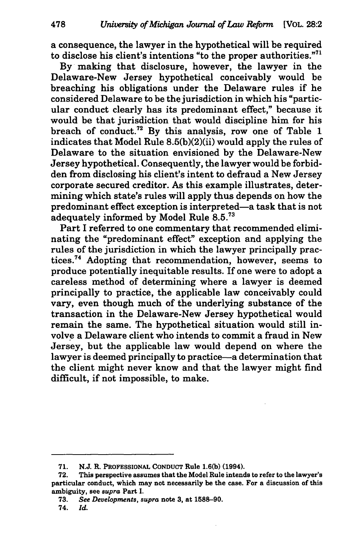a consequence, the lawyer in the hypothetical will be required to disclose his client's intentions "to the proper authorities."71

By making that disclosure, however, the lawyer in the Delaware-New Jersey hypothetical conceivably would be breaching his obligations under the Delaware rules if he considered Delaware to be the jurisdiction in which his "particular conduct clearly has its predominant effect," because it would be that jurisdiction that would discipline him for his breach of conduct.<sup>72</sup> By this analysis, row one of Table 1 indicates that Model Rule 8.5(b)(2)(ii) would apply the rules of Delaware to the situation envisioned by the Delaware-New Jersey hypothetical. Consequently, the lawyer would be forbidden from disclosing his client's intent to defraud a New Jersey corporate secured creditor. As this example illustrates, determining which state's rules will apply thus depends on how the predominant effect exception is interpreted-a task that is not adequately informed by Model Rule 8.5.<sup>73</sup>

Part I referred to one commentary that recommended eliminating the "predominant effect" exception and applying the rules of the jurisdiction in which the lawyer principally practices. 74 Adopting that recommendation, however, seems to produce potentially inequitable results. If one were to adopt a careless method of determining where a lawyer is deemed principally to practice, the applicable law conceivably could vary, even though much of the underlying substance of the transaction in the Delaware-New Jersey hypothetical would remain the same. The hypothetical situation would still involve a Delaware client who intends to commit a fraud in New Jersey, but the applicable law would depend on where the lawyer is deemed principally to practice-a determination that the client might never know and that the lawyer might find difficult, if not impossible, to make.

<sup>71.</sup> N.J. R. PROFESSIONAL CONDUCT Rule 1.6(b) (1994).

<sup>72.</sup> This perspective assumes that the Model Rule intends to refer to the lawyer's particular conduct, which may not necessarily be the case. For a discussion of this ambiguity, see *supra* Part I.

<sup>73.</sup> *See Deuelopments, supra* note 3, at 1588-90.

<sup>74.</sup> *Id.*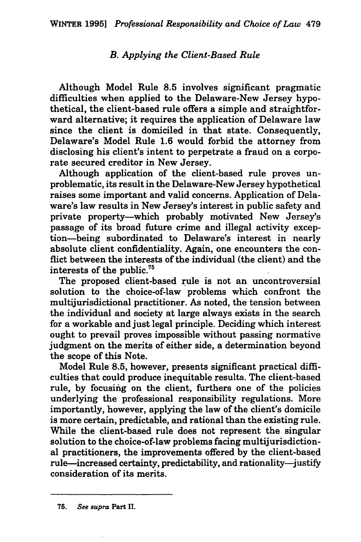## *B. Applying the Client-Based Rule*

Although Model Rule 8.5 involves significant pragmatic difficulties when applied to the Delaware-New Jersey hypothetical, the client-based rule offers a simple and straightforward alternative; it requires the application of Delaware law since the client is domiciled in that state. Consequently, Delaware's Model Rule 1.6 would forbid the attorney from disclosing his client's intent to perpetrate a fraud on a corporate secured creditor in New Jersey.

Although application of the client-based rule proves unproblematic, its result in the Delaware-New Jersey hypothetical raises some important and valid concerns. Application of Delaware's law results in New Jersey's interest in public safety and private property-which probably motivated New Jersey's passage of its broad future crime and illegal activity exception-being subordinated to Delaware's interest in nearly absolute client confidentiality. Again, one encounters the conflict between the interests of the individual (the client) and the interests of the public.<sup>75</sup>

The proposed client-based rule is not an uncontroversial solution to the choice-of-law problems which confront the multijurisdictional practitioner. As noted, the tension between the individual and society at large always exists in the search for a workable and just legal principle. Deciding which interest ought to prevail proves impossible without passing normative judgment on the merits of either side, a determination beyond the scope of this Note.

Model Rule 8.5, however, presents significant practical difficulties that could produce inequitable results. The client-based rule, by focusing on the client, furthers one of the policies underlying the professional responsibility regulations. More importantly, however, applying the law of the client's domicile is more certain, predictable, and rational than the existing rule. While the client-based rule does not represent the singular solution to the choice-of-law problems facing multijurisdictional practitioners, the improvements offered by the client-based rule-increased certainty, predictability, and rationality-justify consideration of its merits.